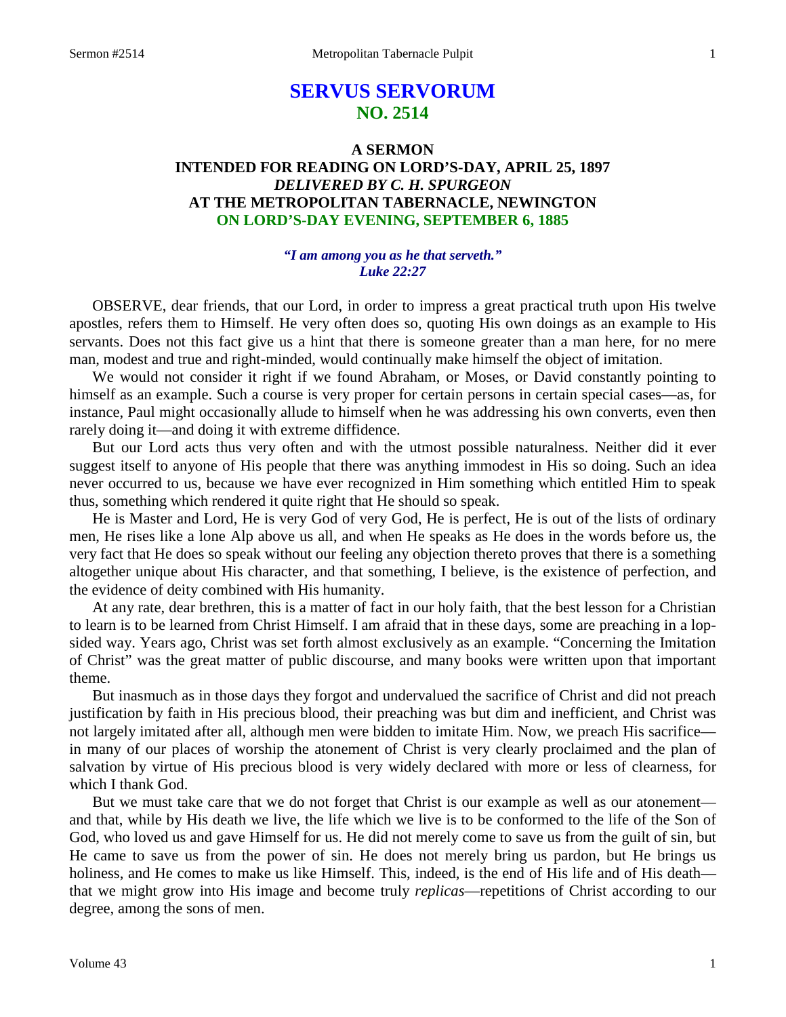# **SERVUS SERVORUM NO. 2514**

# **A SERMON INTENDED FOR READING ON LORD'S-DAY, APRIL 25, 1897** *DELIVERED BY C. H. SPURGEON* **AT THE METROPOLITAN TABERNACLE, NEWINGTON ON LORD'S-DAY EVENING, SEPTEMBER 6, 1885**

# *"I am among you as he that serveth." Luke 22:27*

OBSERVE, dear friends, that our Lord, in order to impress a great practical truth upon His twelve apostles, refers them to Himself. He very often does so, quoting His own doings as an example to His servants. Does not this fact give us a hint that there is someone greater than a man here, for no mere man, modest and true and right-minded, would continually make himself the object of imitation.

We would not consider it right if we found Abraham, or Moses, or David constantly pointing to himself as an example. Such a course is very proper for certain persons in certain special cases—as, for instance, Paul might occasionally allude to himself when he was addressing his own converts, even then rarely doing it—and doing it with extreme diffidence.

But our Lord acts thus very often and with the utmost possible naturalness. Neither did it ever suggest itself to anyone of His people that there was anything immodest in His so doing. Such an idea never occurred to us, because we have ever recognized in Him something which entitled Him to speak thus, something which rendered it quite right that He should so speak.

He is Master and Lord, He is very God of very God, He is perfect, He is out of the lists of ordinary men, He rises like a lone Alp above us all, and when He speaks as He does in the words before us, the very fact that He does so speak without our feeling any objection thereto proves that there is a something altogether unique about His character, and that something, I believe, is the existence of perfection, and the evidence of deity combined with His humanity.

At any rate, dear brethren, this is a matter of fact in our holy faith, that the best lesson for a Christian to learn is to be learned from Christ Himself. I am afraid that in these days, some are preaching in a lopsided way. Years ago, Christ was set forth almost exclusively as an example. "Concerning the Imitation of Christ" was the great matter of public discourse, and many books were written upon that important theme.

But inasmuch as in those days they forgot and undervalued the sacrifice of Christ and did not preach justification by faith in His precious blood, their preaching was but dim and inefficient, and Christ was not largely imitated after all, although men were bidden to imitate Him. Now, we preach His sacrifice in many of our places of worship the atonement of Christ is very clearly proclaimed and the plan of salvation by virtue of His precious blood is very widely declared with more or less of clearness, for which I thank God.

But we must take care that we do not forget that Christ is our example as well as our atonement and that, while by His death we live, the life which we live is to be conformed to the life of the Son of God, who loved us and gave Himself for us. He did not merely come to save us from the guilt of sin, but He came to save us from the power of sin. He does not merely bring us pardon, but He brings us holiness, and He comes to make us like Himself. This, indeed, is the end of His life and of His death that we might grow into His image and become truly *replicas*—repetitions of Christ according to our degree, among the sons of men.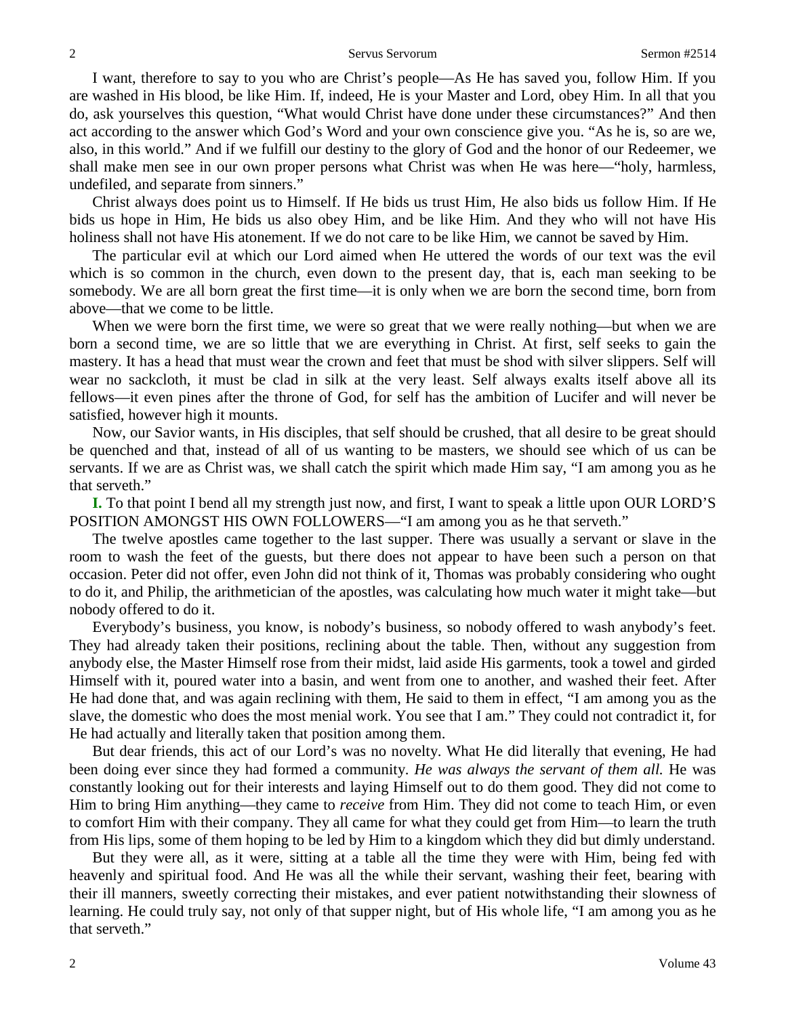I want, therefore to say to you who are Christ's people—As He has saved you, follow Him. If you are washed in His blood, be like Him. If, indeed, He is your Master and Lord, obey Him. In all that you do, ask yourselves this question, "What would Christ have done under these circumstances?" And then act according to the answer which God's Word and your own conscience give you. "As he is, so are we, also, in this world." And if we fulfill our destiny to the glory of God and the honor of our Redeemer, we shall make men see in our own proper persons what Christ was when He was here—"holy, harmless, undefiled, and separate from sinners."

Christ always does point us to Himself. If He bids us trust Him, He also bids us follow Him. If He bids us hope in Him, He bids us also obey Him, and be like Him. And they who will not have His holiness shall not have His atonement. If we do not care to be like Him, we cannot be saved by Him.

The particular evil at which our Lord aimed when He uttered the words of our text was the evil which is so common in the church, even down to the present day, that is, each man seeking to be somebody. We are all born great the first time—it is only when we are born the second time, born from above—that we come to be little.

When we were born the first time, we were so great that we were really nothing—but when we are born a second time, we are so little that we are everything in Christ. At first, self seeks to gain the mastery. It has a head that must wear the crown and feet that must be shod with silver slippers. Self will wear no sackcloth, it must be clad in silk at the very least. Self always exalts itself above all its fellows—it even pines after the throne of God, for self has the ambition of Lucifer and will never be satisfied, however high it mounts.

Now, our Savior wants, in His disciples, that self should be crushed, that all desire to be great should be quenched and that, instead of all of us wanting to be masters, we should see which of us can be servants. If we are as Christ was, we shall catch the spirit which made Him say, "I am among you as he that serveth."

**I.** To that point I bend all my strength just now, and first, I want to speak a little upon OUR LORD'S POSITION AMONGST HIS OWN FOLLOWERS—"I am among you as he that serveth."

The twelve apostles came together to the last supper. There was usually a servant or slave in the room to wash the feet of the guests, but there does not appear to have been such a person on that occasion. Peter did not offer, even John did not think of it, Thomas was probably considering who ought to do it, and Philip, the arithmetician of the apostles, was calculating how much water it might take—but nobody offered to do it.

Everybody's business, you know, is nobody's business, so nobody offered to wash anybody's feet. They had already taken their positions, reclining about the table. Then, without any suggestion from anybody else, the Master Himself rose from their midst, laid aside His garments, took a towel and girded Himself with it, poured water into a basin, and went from one to another, and washed their feet. After He had done that, and was again reclining with them, He said to them in effect, "I am among you as the slave, the domestic who does the most menial work. You see that I am." They could not contradict it, for He had actually and literally taken that position among them.

But dear friends, this act of our Lord's was no novelty. What He did literally that evening, He had been doing ever since they had formed a community. *He was always the servant of them all.* He was constantly looking out for their interests and laying Himself out to do them good. They did not come to Him to bring Him anything—they came to *receive* from Him. They did not come to teach Him, or even to comfort Him with their company. They all came for what they could get from Him—to learn the truth from His lips, some of them hoping to be led by Him to a kingdom which they did but dimly understand.

But they were all, as it were, sitting at a table all the time they were with Him, being fed with heavenly and spiritual food. And He was all the while their servant, washing their feet, bearing with their ill manners, sweetly correcting their mistakes, and ever patient notwithstanding their slowness of learning. He could truly say, not only of that supper night, but of His whole life, "I am among you as he that serveth."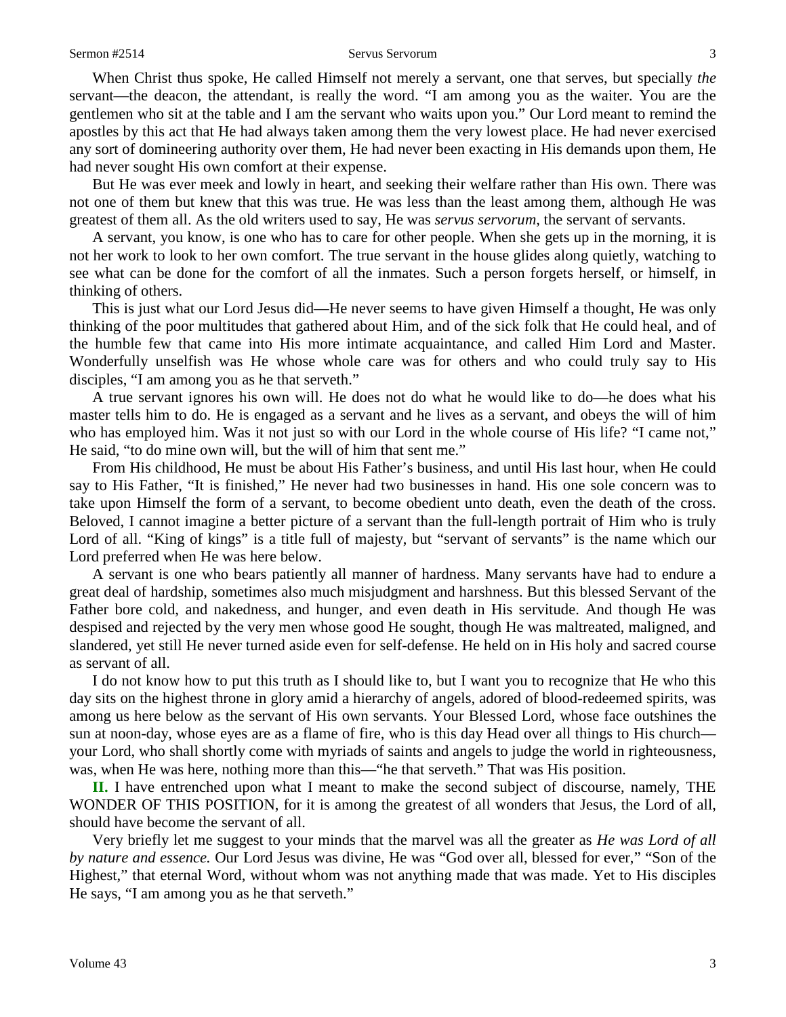#### Sermon #2514 Servus Servorum 3

When Christ thus spoke, He called Himself not merely a servant, one that serves, but specially *the*  servant—the deacon, the attendant, is really the word. "I am among you as the waiter. You are the gentlemen who sit at the table and I am the servant who waits upon you." Our Lord meant to remind the apostles by this act that He had always taken among them the very lowest place. He had never exercised any sort of domineering authority over them, He had never been exacting in His demands upon them, He had never sought His own comfort at their expense.

But He was ever meek and lowly in heart, and seeking their welfare rather than His own. There was not one of them but knew that this was true. He was less than the least among them, although He was greatest of them all. As the old writers used to say, He was *servus servorum,* the servant of servants.

A servant, you know, is one who has to care for other people. When she gets up in the morning, it is not her work to look to her own comfort. The true servant in the house glides along quietly, watching to see what can be done for the comfort of all the inmates. Such a person forgets herself, or himself, in thinking of others.

This is just what our Lord Jesus did—He never seems to have given Himself a thought, He was only thinking of the poor multitudes that gathered about Him, and of the sick folk that He could heal, and of the humble few that came into His more intimate acquaintance, and called Him Lord and Master. Wonderfully unselfish was He whose whole care was for others and who could truly say to His disciples, "I am among you as he that serveth."

A true servant ignores his own will. He does not do what he would like to do—he does what his master tells him to do. He is engaged as a servant and he lives as a servant, and obeys the will of him who has employed him. Was it not just so with our Lord in the whole course of His life? "I came not," He said, "to do mine own will, but the will of him that sent me."

From His childhood, He must be about His Father's business, and until His last hour, when He could say to His Father, "It is finished," He never had two businesses in hand. His one sole concern was to take upon Himself the form of a servant, to become obedient unto death, even the death of the cross. Beloved, I cannot imagine a better picture of a servant than the full-length portrait of Him who is truly Lord of all. "King of kings" is a title full of majesty, but "servant of servants" is the name which our Lord preferred when He was here below.

A servant is one who bears patiently all manner of hardness. Many servants have had to endure a great deal of hardship, sometimes also much misjudgment and harshness. But this blessed Servant of the Father bore cold, and nakedness, and hunger, and even death in His servitude. And though He was despised and rejected by the very men whose good He sought, though He was maltreated, maligned, and slandered, yet still He never turned aside even for self-defense. He held on in His holy and sacred course as servant of all.

I do not know how to put this truth as I should like to, but I want you to recognize that He who this day sits on the highest throne in glory amid a hierarchy of angels, adored of blood-redeemed spirits, was among us here below as the servant of His own servants. Your Blessed Lord, whose face outshines the sun at noon-day, whose eyes are as a flame of fire, who is this day Head over all things to His church your Lord, who shall shortly come with myriads of saints and angels to judge the world in righteousness, was, when He was here, nothing more than this—"he that serveth." That was His position.

**II.** I have entrenched upon what I meant to make the second subject of discourse, namely, THE WONDER OF THIS POSITION, for it is among the greatest of all wonders that Jesus, the Lord of all, should have become the servant of all.

Very briefly let me suggest to your minds that the marvel was all the greater as *He was Lord of all by nature and essence.* Our Lord Jesus was divine, He was "God over all, blessed for ever," "Son of the Highest," that eternal Word, without whom was not anything made that was made. Yet to His disciples He says, "I am among you as he that serveth."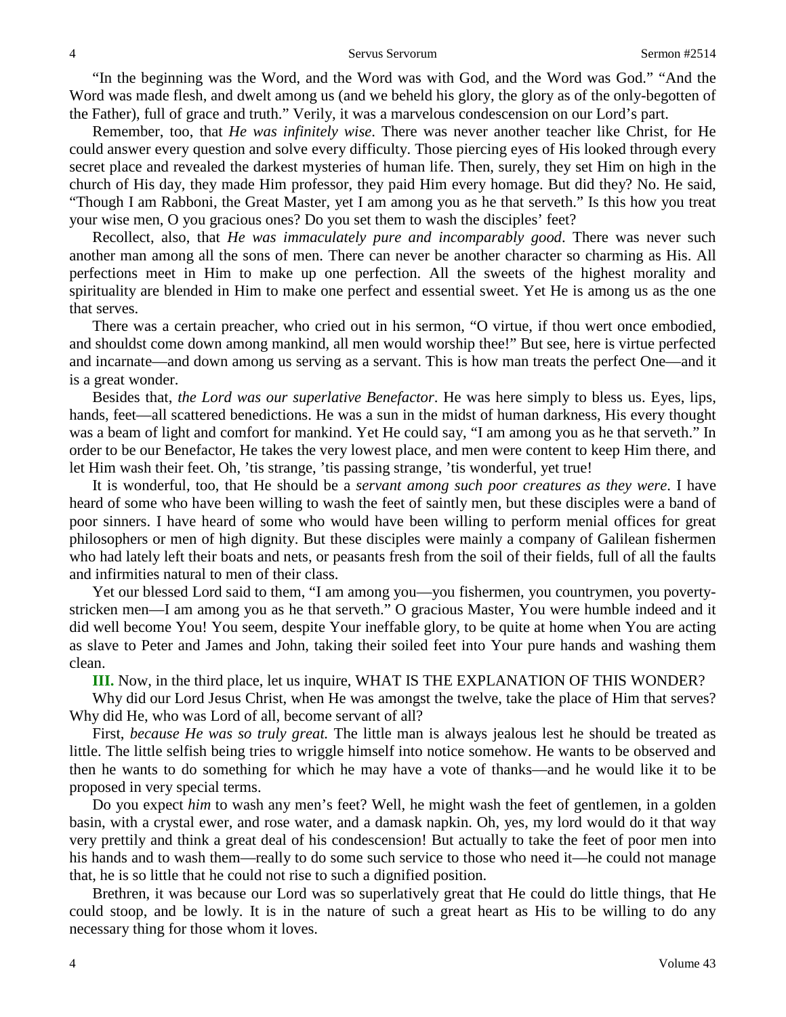"In the beginning was the Word, and the Word was with God, and the Word was God." "And the Word was made flesh, and dwelt among us (and we beheld his glory, the glory as of the only-begotten of the Father), full of grace and truth." Verily, it was a marvelous condescension on our Lord's part.

Remember, too, that *He was infinitely wise*. There was never another teacher like Christ, for He could answer every question and solve every difficulty. Those piercing eyes of His looked through every secret place and revealed the darkest mysteries of human life. Then, surely, they set Him on high in the church of His day, they made Him professor, they paid Him every homage. But did they? No. He said, "Though I am Rabboni, the Great Master, yet I am among you as he that serveth." Is this how you treat your wise men, O you gracious ones? Do you set them to wash the disciples' feet?

Recollect, also, that *He was immaculately pure and incomparably good*. There was never such another man among all the sons of men. There can never be another character so charming as His. All perfections meet in Him to make up one perfection. All the sweets of the highest morality and spirituality are blended in Him to make one perfect and essential sweet. Yet He is among us as the one that serves.

There was a certain preacher, who cried out in his sermon, "O virtue, if thou wert once embodied, and shouldst come down among mankind, all men would worship thee!" But see, here is virtue perfected and incarnate—and down among us serving as a servant. This is how man treats the perfect One—and it is a great wonder.

Besides that, *the Lord was our superlative Benefactor*. He was here simply to bless us. Eyes, lips, hands, feet—all scattered benedictions. He was a sun in the midst of human darkness, His every thought was a beam of light and comfort for mankind. Yet He could say, "I am among you as he that serveth." In order to be our Benefactor, He takes the very lowest place, and men were content to keep Him there, and let Him wash their feet. Oh, 'tis strange, 'tis passing strange, 'tis wonderful, yet true!

It is wonderful, too, that He should be a *servant among such poor creatures as they were*. I have heard of some who have been willing to wash the feet of saintly men, but these disciples were a band of poor sinners. I have heard of some who would have been willing to perform menial offices for great philosophers or men of high dignity. But these disciples were mainly a company of Galilean fishermen who had lately left their boats and nets, or peasants fresh from the soil of their fields, full of all the faults and infirmities natural to men of their class.

Yet our blessed Lord said to them, "I am among you—you fishermen, you countrymen, you povertystricken men—I am among you as he that serveth." O gracious Master, You were humble indeed and it did well become You! You seem, despite Your ineffable glory, to be quite at home when You are acting as slave to Peter and James and John, taking their soiled feet into Your pure hands and washing them clean.

**III.** Now, in the third place, let us inquire, WHAT IS THE EXPLANATION OF THIS WONDER?

Why did our Lord Jesus Christ, when He was amongst the twelve, take the place of Him that serves? Why did He, who was Lord of all, become servant of all?

First, *because He was so truly great.* The little man is always jealous lest he should be treated as little. The little selfish being tries to wriggle himself into notice somehow. He wants to be observed and then he wants to do something for which he may have a vote of thanks—and he would like it to be proposed in very special terms.

Do you expect *him* to wash any men's feet? Well, he might wash the feet of gentlemen, in a golden basin, with a crystal ewer, and rose water, and a damask napkin. Oh, yes, my lord would do it that way very prettily and think a great deal of his condescension! But actually to take the feet of poor men into his hands and to wash them—really to do some such service to those who need it—he could not manage that, he is so little that he could not rise to such a dignified position.

Brethren, it was because our Lord was so superlatively great that He could do little things, that He could stoop, and be lowly. It is in the nature of such a great heart as His to be willing to do any necessary thing for those whom it loves.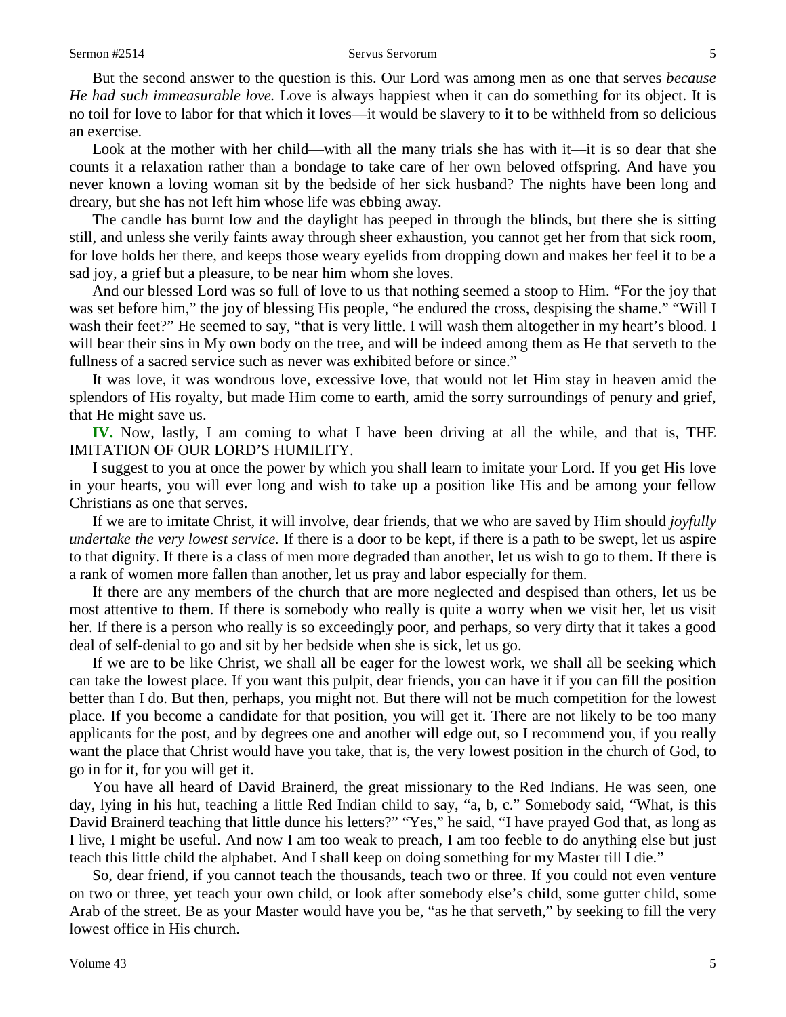But the second answer to the question is this. Our Lord was among men as one that serves *because He had such immeasurable love.* Love is always happiest when it can do something for its object. It is no toil for love to labor for that which it loves—it would be slavery to it to be withheld from so delicious an exercise.

Look at the mother with her child—with all the many trials she has with it—it is so dear that she counts it a relaxation rather than a bondage to take care of her own beloved offspring. And have you never known a loving woman sit by the bedside of her sick husband? The nights have been long and dreary, but she has not left him whose life was ebbing away.

The candle has burnt low and the daylight has peeped in through the blinds, but there she is sitting still, and unless she verily faints away through sheer exhaustion, you cannot get her from that sick room, for love holds her there, and keeps those weary eyelids from dropping down and makes her feel it to be a sad joy, a grief but a pleasure, to be near him whom she loves.

And our blessed Lord was so full of love to us that nothing seemed a stoop to Him. "For the joy that was set before him," the joy of blessing His people, "he endured the cross, despising the shame." "Will I wash their feet?" He seemed to say, "that is very little. I will wash them altogether in my heart's blood. I will bear their sins in My own body on the tree, and will be indeed among them as He that serveth to the fullness of a sacred service such as never was exhibited before or since."

It was love, it was wondrous love, excessive love, that would not let Him stay in heaven amid the splendors of His royalty, but made Him come to earth, amid the sorry surroundings of penury and grief, that He might save us.

**IV.** Now, lastly, I am coming to what I have been driving at all the while, and that is, THE IMITATION OF OUR LORD'S HUMILITY.

I suggest to you at once the power by which you shall learn to imitate your Lord. If you get His love in your hearts, you will ever long and wish to take up a position like His and be among your fellow Christians as one that serves.

If we are to imitate Christ, it will involve, dear friends, that we who are saved by Him should *joyfully undertake the very lowest service.* If there is a door to be kept, if there is a path to be swept, let us aspire to that dignity. If there is a class of men more degraded than another, let us wish to go to them. If there is a rank of women more fallen than another, let us pray and labor especially for them.

If there are any members of the church that are more neglected and despised than others, let us be most attentive to them. If there is somebody who really is quite a worry when we visit her, let us visit her. If there is a person who really is so exceedingly poor, and perhaps, so very dirty that it takes a good deal of self-denial to go and sit by her bedside when she is sick, let us go.

If we are to be like Christ, we shall all be eager for the lowest work, we shall all be seeking which can take the lowest place. If you want this pulpit, dear friends, you can have it if you can fill the position better than I do. But then, perhaps, you might not. But there will not be much competition for the lowest place. If you become a candidate for that position, you will get it. There are not likely to be too many applicants for the post, and by degrees one and another will edge out, so I recommend you, if you really want the place that Christ would have you take, that is, the very lowest position in the church of God, to go in for it, for you will get it.

You have all heard of David Brainerd, the great missionary to the Red Indians. He was seen, one day, lying in his hut, teaching a little Red Indian child to say, "a, b, c." Somebody said, "What, is this David Brainerd teaching that little dunce his letters?" "Yes," he said, "I have prayed God that, as long as I live, I might be useful. And now I am too weak to preach, I am too feeble to do anything else but just teach this little child the alphabet. And I shall keep on doing something for my Master till I die."

So, dear friend, if you cannot teach the thousands, teach two or three. If you could not even venture on two or three, yet teach your own child, or look after somebody else's child, some gutter child, some Arab of the street. Be as your Master would have you be, "as he that serveth," by seeking to fill the very lowest office in His church.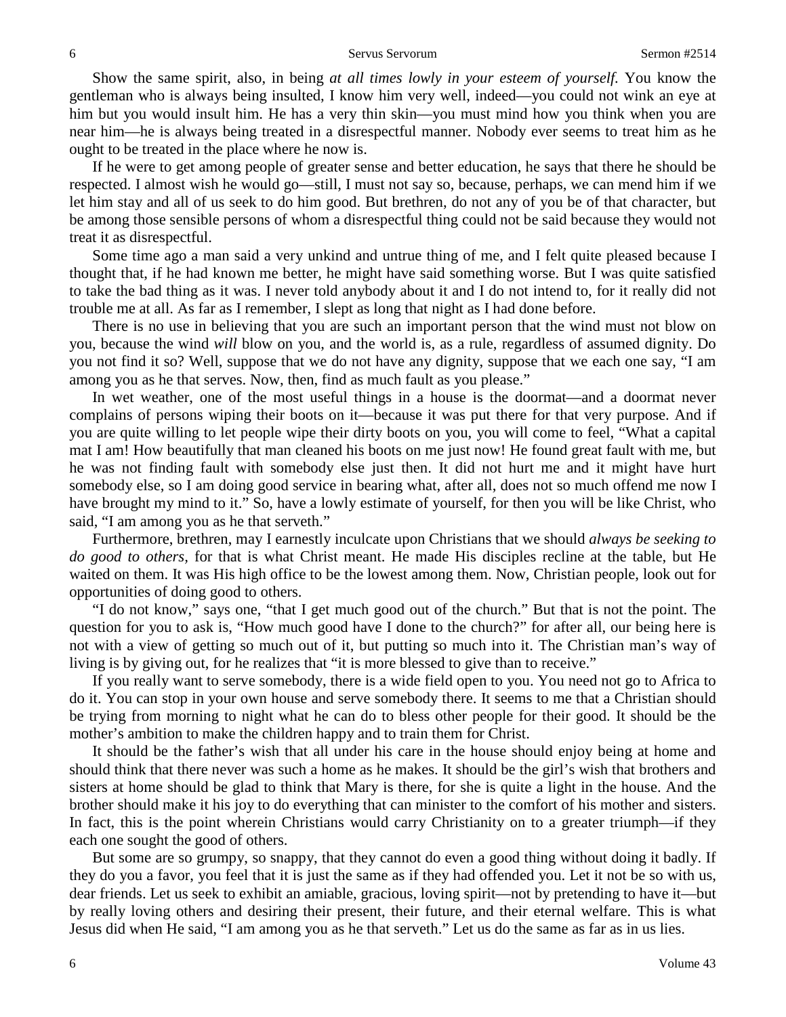Show the same spirit, also, in being *at all times lowly in your esteem of yourself.* You know the gentleman who is always being insulted, I know him very well, indeed—you could not wink an eye at him but you would insult him. He has a very thin skin—you must mind how you think when you are near him—he is always being treated in a disrespectful manner. Nobody ever seems to treat him as he ought to be treated in the place where he now is.

If he were to get among people of greater sense and better education, he says that there he should be respected. I almost wish he would go—still, I must not say so, because, perhaps, we can mend him if we let him stay and all of us seek to do him good. But brethren, do not any of you be of that character, but be among those sensible persons of whom a disrespectful thing could not be said because they would not treat it as disrespectful.

Some time ago a man said a very unkind and untrue thing of me, and I felt quite pleased because I thought that, if he had known me better, he might have said something worse. But I was quite satisfied to take the bad thing as it was. I never told anybody about it and I do not intend to, for it really did not trouble me at all. As far as I remember, I slept as long that night as I had done before.

There is no use in believing that you are such an important person that the wind must not blow on you, because the wind *will* blow on you, and the world is, as a rule, regardless of assumed dignity. Do you not find it so? Well, suppose that we do not have any dignity, suppose that we each one say, "I am among you as he that serves. Now, then, find as much fault as you please."

In wet weather, one of the most useful things in a house is the doormat—and a doormat never complains of persons wiping their boots on it—because it was put there for that very purpose. And if you are quite willing to let people wipe their dirty boots on you, you will come to feel, "What a capital mat I am! How beautifully that man cleaned his boots on me just now! He found great fault with me, but he was not finding fault with somebody else just then. It did not hurt me and it might have hurt somebody else, so I am doing good service in bearing what, after all, does not so much offend me now I have brought my mind to it." So, have a lowly estimate of yourself, for then you will be like Christ, who said, "I am among you as he that serveth."

Furthermore, brethren, may I earnestly inculcate upon Christians that we should *always be seeking to do good to others,* for that is what Christ meant. He made His disciples recline at the table, but He waited on them. It was His high office to be the lowest among them. Now, Christian people, look out for opportunities of doing good to others.

"I do not know," says one, "that I get much good out of the church." But that is not the point. The question for you to ask is, "How much good have I done to the church?" for after all, our being here is not with a view of getting so much out of it, but putting so much into it. The Christian man's way of living is by giving out, for he realizes that "it is more blessed to give than to receive."

If you really want to serve somebody, there is a wide field open to you. You need not go to Africa to do it. You can stop in your own house and serve somebody there. It seems to me that a Christian should be trying from morning to night what he can do to bless other people for their good. It should be the mother's ambition to make the children happy and to train them for Christ.

It should be the father's wish that all under his care in the house should enjoy being at home and should think that there never was such a home as he makes. It should be the girl's wish that brothers and sisters at home should be glad to think that Mary is there, for she is quite a light in the house. And the brother should make it his joy to do everything that can minister to the comfort of his mother and sisters. In fact, this is the point wherein Christians would carry Christianity on to a greater triumph—if they each one sought the good of others.

But some are so grumpy, so snappy, that they cannot do even a good thing without doing it badly. If they do you a favor, you feel that it is just the same as if they had offended you. Let it not be so with us, dear friends. Let us seek to exhibit an amiable, gracious, loving spirit—not by pretending to have it—but by really loving others and desiring their present, their future, and their eternal welfare. This is what Jesus did when He said, "I am among you as he that serveth." Let us do the same as far as in us lies.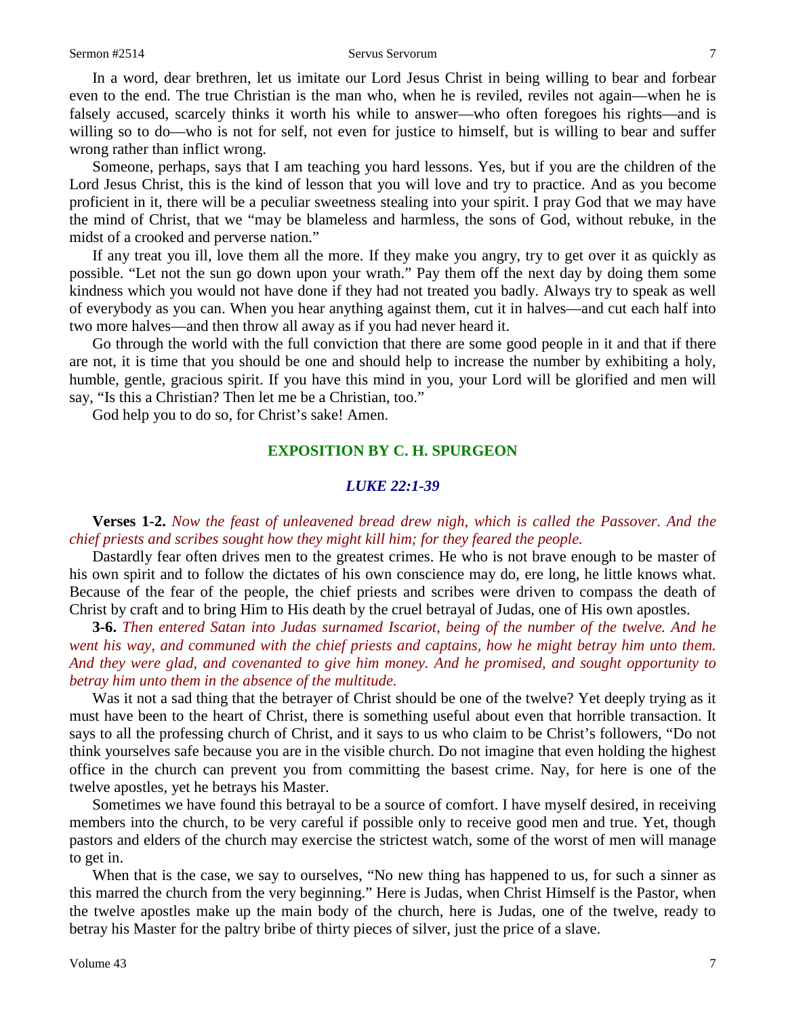#### Sermon #2514 Servus Servorum 7

In a word, dear brethren, let us imitate our Lord Jesus Christ in being willing to bear and forbear even to the end. The true Christian is the man who, when he is reviled, reviles not again—when he is falsely accused, scarcely thinks it worth his while to answer—who often foregoes his rights—and is willing so to do—who is not for self, not even for justice to himself, but is willing to bear and suffer wrong rather than inflict wrong.

Someone, perhaps, says that I am teaching you hard lessons. Yes, but if you are the children of the Lord Jesus Christ, this is the kind of lesson that you will love and try to practice. And as you become proficient in it, there will be a peculiar sweetness stealing into your spirit. I pray God that we may have the mind of Christ, that we "may be blameless and harmless, the sons of God, without rebuke, in the midst of a crooked and perverse nation."

If any treat you ill, love them all the more. If they make you angry, try to get over it as quickly as possible. "Let not the sun go down upon your wrath." Pay them off the next day by doing them some kindness which you would not have done if they had not treated you badly. Always try to speak as well of everybody as you can. When you hear anything against them, cut it in halves—and cut each half into two more halves—and then throw all away as if you had never heard it.

Go through the world with the full conviction that there are some good people in it and that if there are not, it is time that you should be one and should help to increase the number by exhibiting a holy, humble, gentle, gracious spirit. If you have this mind in you, your Lord will be glorified and men will say, "Is this a Christian? Then let me be a Christian, too."

God help you to do so, for Christ's sake! Amen.

## **EXPOSITION BY C. H. SPURGEON**

### *LUKE 22:1-39*

**Verses 1-2.** *Now the feast of unleavened bread drew nigh, which is called the Passover. And the chief priests and scribes sought how they might kill him; for they feared the people.* 

Dastardly fear often drives men to the greatest crimes. He who is not brave enough to be master of his own spirit and to follow the dictates of his own conscience may do, ere long, he little knows what. Because of the fear of the people, the chief priests and scribes were driven to compass the death of Christ by craft and to bring Him to His death by the cruel betrayal of Judas, one of His own apostles.

**3-6.** *Then entered Satan into Judas surnamed Iscariot, being of the number of the twelve. And he went his way, and communed with the chief priests and captains, how he might betray him unto them. And they were glad, and covenanted to give him money. And he promised, and sought opportunity to betray him unto them in the absence of the multitude.*

Was it not a sad thing that the betrayer of Christ should be one of the twelve? Yet deeply trying as it must have been to the heart of Christ, there is something useful about even that horrible transaction. It says to all the professing church of Christ, and it says to us who claim to be Christ's followers, "Do not think yourselves safe because you are in the visible church. Do not imagine that even holding the highest office in the church can prevent you from committing the basest crime. Nay, for here is one of the twelve apostles, yet he betrays his Master.

Sometimes we have found this betrayal to be a source of comfort. I have myself desired, in receiving members into the church, to be very careful if possible only to receive good men and true. Yet, though pastors and elders of the church may exercise the strictest watch, some of the worst of men will manage to get in.

When that is the case, we say to ourselves, "No new thing has happened to us, for such a sinner as this marred the church from the very beginning." Here is Judas, when Christ Himself is the Pastor, when the twelve apostles make up the main body of the church, here is Judas, one of the twelve, ready to betray his Master for the paltry bribe of thirty pieces of silver, just the price of a slave.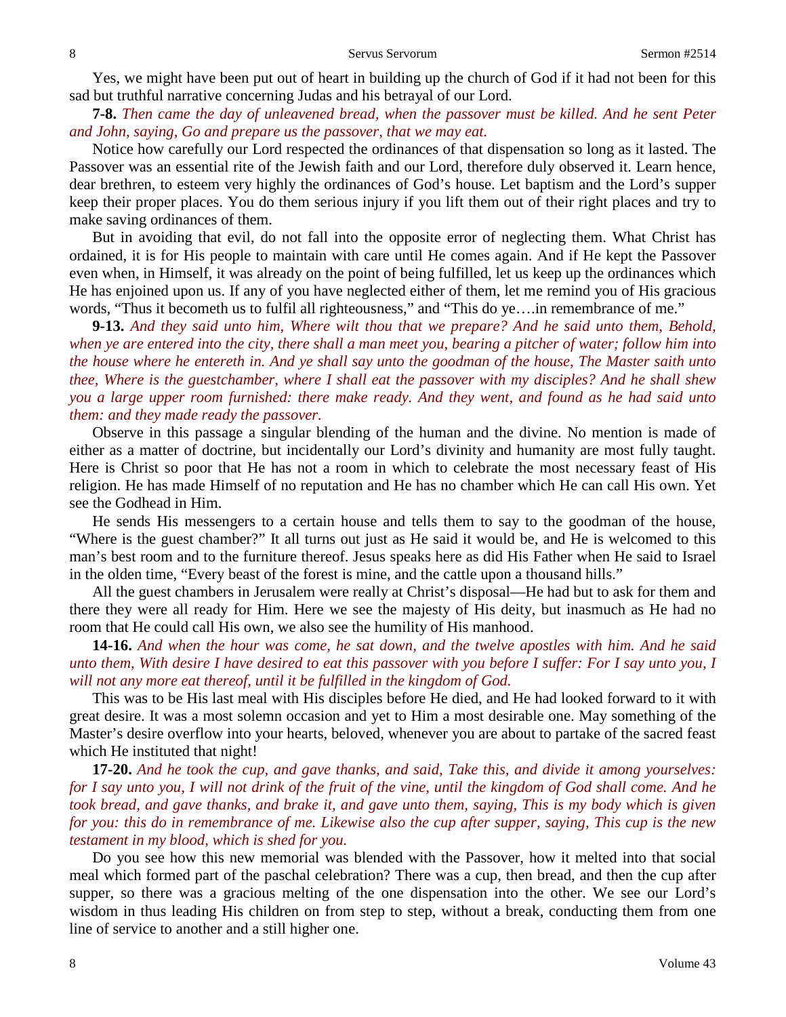Yes, we might have been put out of heart in building up the church of God if it had not been for this sad but truthful narrative concerning Judas and his betrayal of our Lord.

**7-8.** *Then came the day of unleavened bread, when the passover must be killed. And he sent Peter and John, saying, Go and prepare us the passover, that we may eat.* 

Notice how carefully our Lord respected the ordinances of that dispensation so long as it lasted. The Passover was an essential rite of the Jewish faith and our Lord, therefore duly observed it. Learn hence, dear brethren, to esteem very highly the ordinances of God's house. Let baptism and the Lord's supper keep their proper places. You do them serious injury if you lift them out of their right places and try to make saving ordinances of them.

But in avoiding that evil, do not fall into the opposite error of neglecting them. What Christ has ordained, it is for His people to maintain with care until He comes again. And if He kept the Passover even when, in Himself, it was already on the point of being fulfilled, let us keep up the ordinances which He has enjoined upon us. If any of you have neglected either of them, let me remind you of His gracious words, "Thus it becometh us to fulfil all righteousness," and "This do ye….in remembrance of me."

**9-13.** *And they said unto him, Where wilt thou that we prepare? And he said unto them, Behold, when ye are entered into the city, there shall a man meet you, bearing a pitcher of water; follow him into the house where he entereth in. And ye shall say unto the goodman of the house, The Master saith unto thee, Where is the guestchamber, where I shall eat the passover with my disciples? And he shall shew you a large upper room furnished: there make ready. And they went, and found as he had said unto them: and they made ready the passover.*

Observe in this passage a singular blending of the human and the divine. No mention is made of either as a matter of doctrine, but incidentally our Lord's divinity and humanity are most fully taught. Here is Christ so poor that He has not a room in which to celebrate the most necessary feast of His religion. He has made Himself of no reputation and He has no chamber which He can call His own. Yet see the Godhead in Him.

He sends His messengers to a certain house and tells them to say to the goodman of the house, "Where is the guest chamber?" It all turns out just as He said it would be, and He is welcomed to this man's best room and to the furniture thereof. Jesus speaks here as did His Father when He said to Israel in the olden time, "Every beast of the forest is mine, and the cattle upon a thousand hills."

All the guest chambers in Jerusalem were really at Christ's disposal—He had but to ask for them and there they were all ready for Him. Here we see the majesty of His deity, but inasmuch as He had no room that He could call His own, we also see the humility of His manhood.

**14-16.** *And when the hour was come, he sat down, and the twelve apostles with him. And he said unto them, With desire I have desired to eat this passover with you before I suffer: For I say unto you, I will not any more eat thereof, until it be fulfilled in the kingdom of God.*

This was to be His last meal with His disciples before He died, and He had looked forward to it with great desire. It was a most solemn occasion and yet to Him a most desirable one. May something of the Master's desire overflow into your hearts, beloved, whenever you are about to partake of the sacred feast which He instituted that night!

**17-20.** *And he took the cup, and gave thanks, and said, Take this, and divide it among yourselves: for I say unto you, I will not drink of the fruit of the vine, until the kingdom of God shall come. And he took bread, and gave thanks, and brake it, and gave unto them, saying, This is my body which is given for you: this do in remembrance of me. Likewise also the cup after supper, saying, This cup is the new testament in my blood, which is shed for you.*

Do you see how this new memorial was blended with the Passover, how it melted into that social meal which formed part of the paschal celebration? There was a cup, then bread, and then the cup after supper, so there was a gracious melting of the one dispensation into the other. We see our Lord's wisdom in thus leading His children on from step to step, without a break, conducting them from one line of service to another and a still higher one.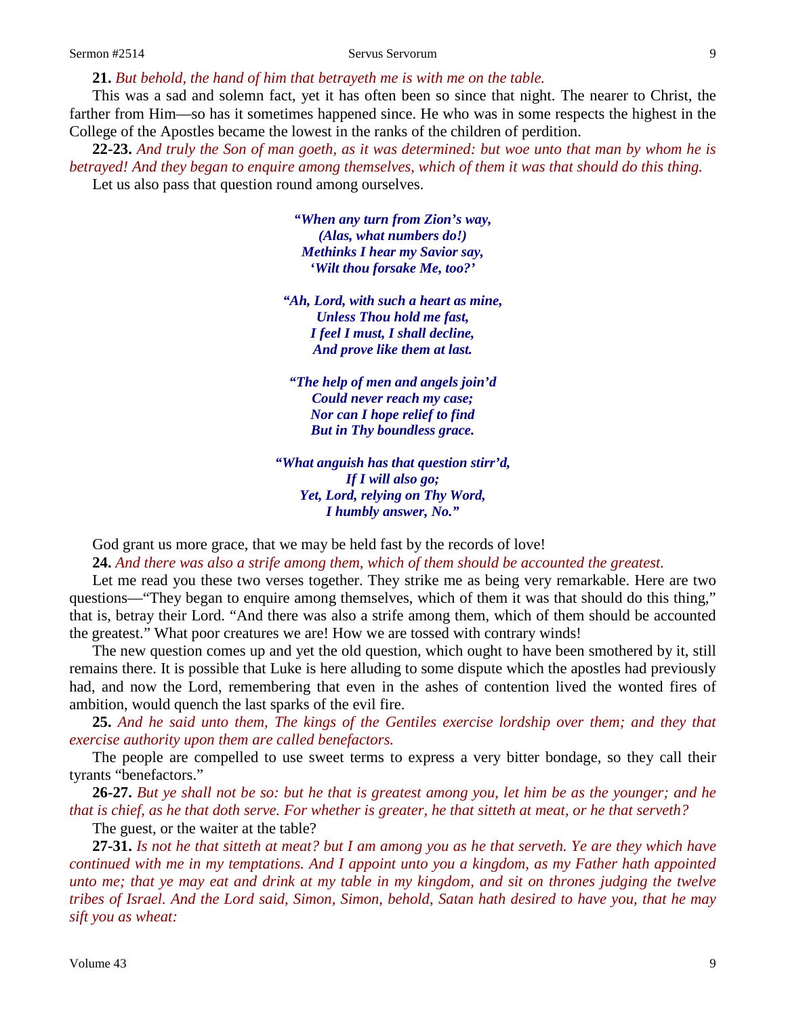#### Sermon #2514 Servus Servorum 9

**21.** *But behold, the hand of him that betrayeth me is with me on the table.* 

This was a sad and solemn fact, yet it has often been so since that night. The nearer to Christ, the farther from Him—so has it sometimes happened since. He who was in some respects the highest in the College of the Apostles became the lowest in the ranks of the children of perdition.

**22-23.** *And truly the Son of man goeth, as it was determined: but woe unto that man by whom he is betrayed! And they began to enquire among themselves, which of them it was that should do this thing.* Let us also pass that question round among ourselves.

> *"When any turn from Zion's way, (Alas, what numbers do!) Methinks I hear my Savior say, 'Wilt thou forsake Me, too?'*

*"Ah, Lord, with such a heart as mine, Unless Thou hold me fast, I feel I must, I shall decline, And prove like them at last.*

*"The help of men and angels join'd Could never reach my case; Nor can I hope relief to find But in Thy boundless grace.*

*"What anguish has that question stirr'd, If I will also go; Yet, Lord, relying on Thy Word, I humbly answer, No."*

God grant us more grace, that we may be held fast by the records of love!

**24.** *And there was also a strife among them, which of them should be accounted the greatest.*

Let me read you these two verses together. They strike me as being very remarkable. Here are two questions—"They began to enquire among themselves, which of them it was that should do this thing," that is, betray their Lord. "And there was also a strife among them, which of them should be accounted the greatest." What poor creatures we are! How we are tossed with contrary winds!

The new question comes up and yet the old question, which ought to have been smothered by it, still remains there. It is possible that Luke is here alluding to some dispute which the apostles had previously had, and now the Lord, remembering that even in the ashes of contention lived the wonted fires of ambition, would quench the last sparks of the evil fire.

**25.** *And he said unto them, The kings of the Gentiles exercise lordship over them; and they that exercise authority upon them are called benefactors.* 

The people are compelled to use sweet terms to express a very bitter bondage, so they call their tyrants "benefactors."

**26-27.** *But ye shall not be so: but he that is greatest among you, let him be as the younger; and he that is chief, as he that doth serve. For whether is greater, he that sitteth at meat, or he that serveth?* 

The guest, or the waiter at the table?

**27-31.** *Is not he that sitteth at meat? but I am among you as he that serveth. Ye are they which have continued with me in my temptations. And I appoint unto you a kingdom, as my Father hath appointed unto me; that ye may eat and drink at my table in my kingdom, and sit on thrones judging the twelve tribes of Israel. And the Lord said, Simon, Simon, behold, Satan hath desired to have you, that he may sift you as wheat:*